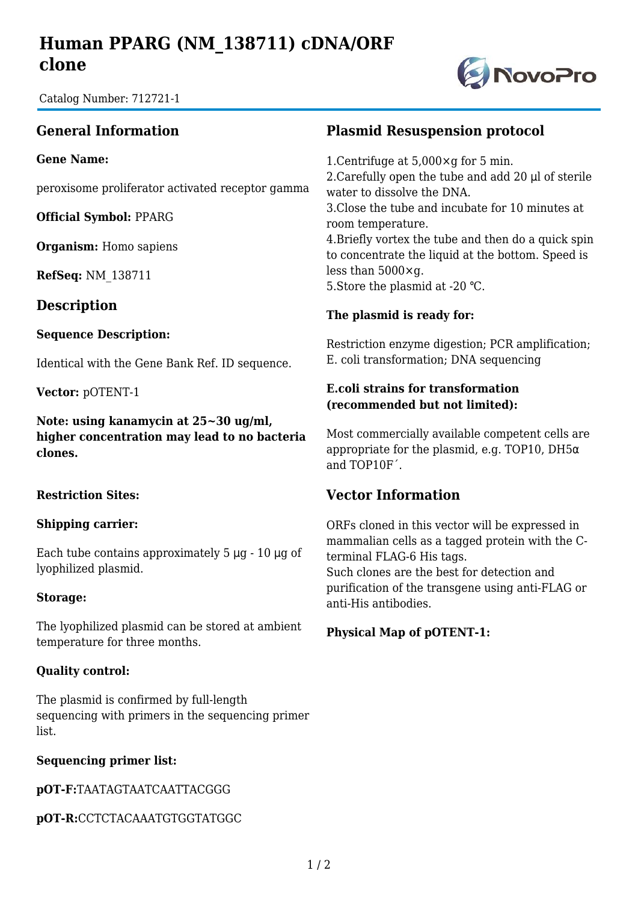# **Human PPARG (NM\_138711) cDNA/ORF clone**



Catalog Number: 712721-1

## **General Information**

**Gene Name:**

peroxisome proliferator activated receptor gamma

**Official Symbol:** PPARG

**Organism:** Homo sapiens

**RefSeq:** NM\_138711

**Description**

#### **Sequence Description:**

Identical with the Gene Bank Ref. ID sequence.

**Vector:** pOTENT-1

**Note: using kanamycin at 25~30 ug/ml, higher concentration may lead to no bacteria clones.**

#### **Restriction Sites:**

#### **Shipping carrier:**

Each tube contains approximately 5 μg - 10 μg of lyophilized plasmid.

#### **Storage:**

The lyophilized plasmid can be stored at ambient temperature for three months.

#### **Quality control:**

The plasmid is confirmed by full-length sequencing with primers in the sequencing primer list.

#### **Sequencing primer list:**

**pOT-F:**TAATAGTAATCAATTACGGG

**pOT-R:**CCTCTACAAATGTGGTATGGC

### **Plasmid Resuspension protocol**

1.Centrifuge at 5,000×g for 5 min. 2.Carefully open the tube and add 20 μl of sterile water to dissolve the DNA. 3.Close the tube and incubate for 10 minutes at room temperature. 4.Briefly vortex the tube and then do a quick spin to concentrate the liquid at the bottom. Speed is less than 5000×g. 5.Store the plasmid at -20 ℃.

#### **The plasmid is ready for:**

Restriction enzyme digestion; PCR amplification; E. coli transformation; DNA sequencing

#### **E.coli strains for transformation (recommended but not limited):**

Most commercially available competent cells are appropriate for the plasmid, e.g. TOP10, DH $5\alpha$ and TOP10F´.

## **Vector Information**

ORFs cloned in this vector will be expressed in mammalian cells as a tagged protein with the Cterminal FLAG-6 His tags. Such clones are the best for detection and purification of the transgene using anti-FLAG or anti-His antibodies.

### **Physical Map of pOTENT-1:**